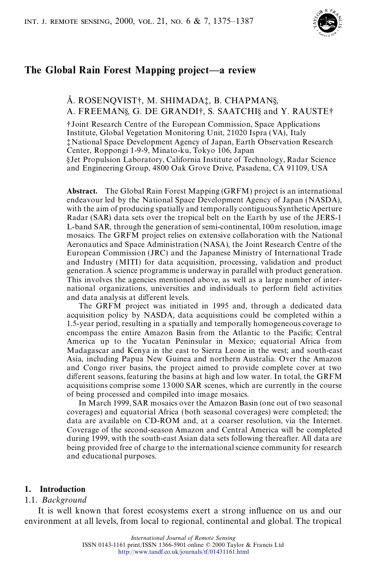

# **The Global Rain Forest Mapping project—a review**

## Å. ROSENQVIST†, M. SHIMADA‡, B. CHAPMAN§, A. FREEMAN§, G. DE GRANDI†, S. SAATCHI§ and Y. RAUSTE†

†Joint Research Centre of the European Commission, Space Applications Institute, Global Vegetation Monitoring Unit, 21020 Ispra (VA), Italy ‡National Space Development Agency of Japan, Earth Observation Research Center, Roppongi 1-9-9, Minato-ku, Tokyo 106, Japan §Jet Propulsion Laboratory, California Institute of Technology, Radar Science and Engineering Group, 4800 Oak Grove Drive, Pasadena, CA 91109, USA

**Abstract.** The Global Rain Forest Mapping (GRFM) project is an international endeavour led by the National Space Development Agency of Japan (NASDA), with the aim of producing spatially and temporally contiguous Synthetic Aperture Radar (SAR) data sets over the tropical belt on the Earth by use of the JERS-1 L-band SAR, through the generation of semi-continental, 100m resolution, image mosaics. The GRFM project relies on extensive collaboration with the National Aeronautics and Space Administration (NASA), the Joint Research Centre of the European Commission (JRC) and the Japanese Ministry of International Trade and Industry (MITI) for data acquisition, processing, validation and product generation. A science programme is underway in parallel with product generation. This involves the agencies mentioned above, as well as a large number of international organizations, universities and individuals to perform field activities and data analysis at different levels.

The GRFM project was initiated in 1995 and, through a dedicated data acquisition policy by NASDA, data acquisitions could be completed within a 1.5-year period, resulting in a spatially and temporally homogeneous coverage to encompass the entire Amazon Basin from the Atlantic to the Pacific; Central America up to the Yucatan Peninsular in Mexico; equatorial Africa from Madagascar and Kenya in the east to Sierra Leone in the west; and south-east Asia, including Papua New Guinea and northern Australia. Over the Amazon and Congo river basins, the project aimed to provide complete cover at two different seasons, featuring the basins at high and low water. In total, the GRFM acquisitions comprise some 13 000 SAR scenes, which are currently in the course of being processed and compiled into image mosaics.

In March 1999, SAR mosaics over the Amazon Basin (one out of two seasonal coverages) and equatorial Africa (both seasonal coverages) were completed; the data are available on CD-ROM and, at a coarser resolution, via the Internet. Coverage of the second-season Amazon and Central America will be completed during 1999, with the south-east Asian data sets following thereafter. All data are being provided free of charge to the internationalscience community for research and educational purposes.

#### **1. Introduction**

#### 1.1. *Background*

It is well known that forest ecosystems exert a strong influence on us and our environment at all levels, from local to regional, continental and global. The tropical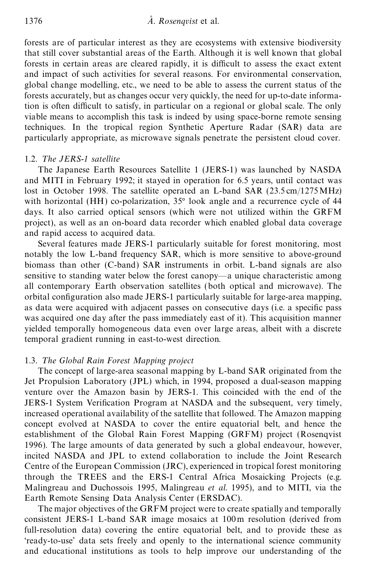forests are of particular interest as they are ecosystems with extensive biodiversity that still cover substantial areas of the Earth. Although it is well known that global forests in certain areas are cleared rapidly, it is difficult to assess the exact extent and impact of such activities for several reasons. For environmental conservation, global change modelling, etc., we need to be able to assess the current status of the forests accurately, but as changes occur very quickly, the need for up-to-date information is often difficult to satisfy, in particular on a regional or global scale. The only viable means to accomplish this task is indeed by using space-borne remote sensing techniques. In the tropical region Synthetic Aperture Radar (SAR) data are particularly appropriate, as microwave signals penetrate the persistent cloud cover.

### 1.2. *T he JERS-1 satellite*

The Japanese Earth Resources Satellite 1 (JERS-1) was launched by NASDA and MITI in February 1992; it stayed in operation for 6.5 years, until contact was lost in October 1998. The satellite operated an L-band SAR (23.5 cm/1275 MHz) with horizontal (HH) co-polarization,  $35^{\circ}$  look angle and a recurrence cycle of 44 days. It also carried optical sensors (which were not utilized within the GRFM project), as well as an on-board data recorder which enabled global data coverage and rapid access to acquired data.

Several features made JERS-1 particularly suitable for forest monitoring, most notably the low L-band frequency SAR, which is more sensitive to above-ground biomass than other (C-band) SAR instruments in orbit. L-band signals are also sensitive to standing water below the forest canopy—a unique characteristic among all contemporary Earth observation satellites (both optical and microwave). The orbital configuration also made JERS-1 particularly suitable for large-area mapping, as data were acquired with adjacent passes on consecutive days (*i.e.* a specific pass was acquired one day after the pass immediately east of it). This acquisition manner yielded temporally homogeneous data even over large areas, albeit with a discrete temporal gradient running in east-to-west direction.

### 1.3. *T he Global Rain Forest Mapping project*

The concept of large-area seasonal mapping by L-band SAR originated from the Jet Propulsion Laboratory (JPL) which, in 1994, proposed a dual-season mapping venture over the Amazon basin by JERS-1. This coincided with the end of the JERS-1 System Verification Program at NASDA and the subsequent, very timely, increased operational availability of the satellite that followed. The Amazon mapping concept evolved at NASDA to cover the entire equatorial belt, and hence the establishment of the Global Rain Forest Mapping (GRFM) project (Rosenqvist 1996). The large amounts of data generated by such a global endeavour, however, incited NASDA and JPL to extend collaboration to include the Joint Research Centre of the European Commission (JRC), experienced in tropical forest monitoring through the TREES and the ERS-1 Central Africa Mosaicking Projects (e.g. Malingreau and Duchossois 1995, Malingreau *et al*. 1995), and to MITI, via the Earth Remote Sensing Data Analysis Center (ERSDAC).

The major objectives of the GRFM project were to create spatially and temporally consistent JERS-1 L-band SAR image mosaics at 100m resolution (derived from full-resolution data) covering the entire equatorial belt, and to provide these as 'ready-to-use' data sets freely and openly to the international science community and educational institutions as tools to help improve our understanding of the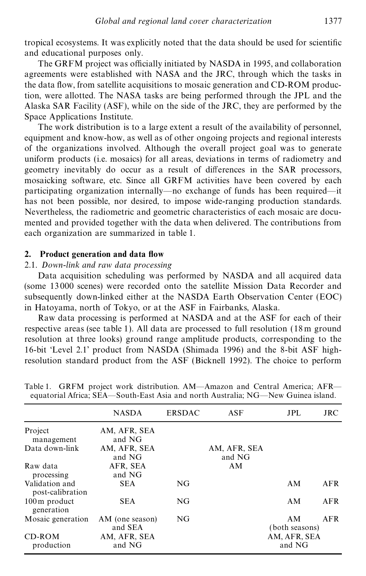tropical ecosystems. It was explicitly noted that the data should be used for scientific and educational purposes only.

The GRFM project was officially initiated by NASDA in 1995, and collaboration agreements were established with NASA and the JRC, through which the tasks in the data flow, from satellite acquisitions to mosaic generation and CD-ROM production, were allotted. The NASA tasks are being performed through the JPL and the Alaska SAR Facility (ASF), while on the side of the JRC, they are performed by the Space Applications Institute.

The work distribution is to a large extent a result of the availability of personnel, equipment and know-how, as well as of other ongoing projects and regional interests of the organizations involved. Although the overall project goal was to generate uniform products (i.e. mosaics) for all areas, deviations in terms of radiometry and geometry inevitably do occur as a result of differences in the SAR processors, mosaicking software, etc. Since all GRFM activities have been covered by each participating organization internally—no exchange of funds has been required—it has not been possible, nor desired, to impose wide-ranging production standards. Nevertheless, the radiometric and geometric characteristics of each mosaic are documented and provided together with the data when delivered. The contributions from each organization are summarized in table 1.

### **2. Product generation and data ow**

### 2.1. *Down-link and raw data processing*

Data acquisition scheduling was performed by NASDA and all acquired data (some 13 000 scenes) were recorded onto the satellite Mission Data Recorder and subsequently down-linked either at the NASDA Earth Observation Center (EOC) in Hatoyama, north of Tokyo, or at the ASF in Fairbanks, Alaska.

Raw data processing is performed at NASDA and at the ASF for each of their respective areas (see table 1). All data are processed to full resolution (18 m ground resolution at three looks) ground range amplitude products, corresponding to the 16-bit 'Level 2.1' product from NASDA (Shimada 1996) and the 8-bit ASF highresolution standard product from the ASF (Bicknell 1992). The choice to perform

|                                          | <b>NASDA</b>               | <b>ERSDAC</b> | ASF                    | JPL.                   | <b>JRC</b> |
|------------------------------------------|----------------------------|---------------|------------------------|------------------------|------------|
| Project<br>management                    | AM, AFR, SEA<br>and NG     |               |                        |                        |            |
| Data down-link                           | AM, AFR, SEA<br>and NG     |               | AM, AFR, SEA<br>and NG |                        |            |
| Raw data<br>processing                   | AFR, SEA<br>and NG         |               | AM                     |                        |            |
| Validation and<br>post-calibration       | <b>SEA</b>                 | NG            |                        | AM                     | AFR        |
| $100 \,\mathrm{m}$ product<br>generation | <b>SEA</b>                 | NG            |                        | AM                     | AFR        |
| Mosaic generation                        | AM (one season)<br>and SEA | NG            |                        | AM<br>(both seasons)   | AFR        |
| CD-ROM<br>production                     | AM, AFR, SEA<br>and NG     |               |                        | AM, AFR, SEA<br>and NG |            |

Table 1. GRFM project work distribution. AM—Amazon and Central America; AFR equatorial Africa; SEA—South-East Asia and north Australia; NG—New Guinea island.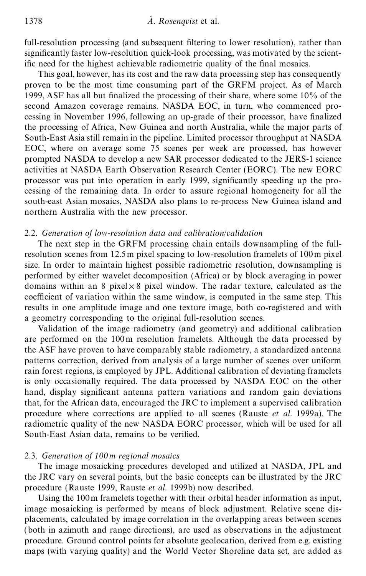full-resolution processing (and subsequent filtering to lower resolution), rather than significantly faster low-resolution quick-look processing, was motivated by the scientific need for the highest achievable radiometric quality of the final mosaics.

This goal, however, has its cost and the raw data processing step has consequently proven to be the most time consuming part of the GRFM project. As of March 1999, ASF has all but nalized the processing of their share, where some 10% of the second Amazon coverage remains. NASDA EOC, in turn, who commenced processing in November 1996, following an up-grade of their processor, have finalized the processing of Africa, New Guinea and north Australia, while the major parts of South-East Asia still remain in the pipeline. Limited processor throughput at NASDA EOC, where on average some 75 scenes per week are processed, has however prompted NASDA to develop a new SAR processor dedicated to the JERS-1 science activities at NASDA Earth Observation Research Center (EORC). The new EORC processor was put into operation in early 1999, significantly speeding up the processing of the remaining data. In order to assure regional homogeneity for all the south-east Asian mosaics, NASDA also plans to re-process New Guinea island and northern Australia with the new processor.

#### 2.2. *Generation of low-resolution data and calibration*/*validation*

The next step in the GRFM processing chain entails downsampling of the fullresolution scenes from 12.5m pixel spacing to low-resolution framelets of 100m pixel size. In order to maintain highest possible radiometric resolution, downsampling is performed by either wavelet decomposition (Africa) or by block averaging in power domains within an 8 pixel $\times$ 8 pixel window. The radar texture, calculated as the coefficient of variation within the same window, is computed in the same step. This results in one amplitude image and one texture image, both co-registered and with a geometry corresponding to the original full-resolution scenes.

Validation of the image radiometry (and geometry) and additional calibration are performed on the 100m resolution framelets. Although the data processed by the ASF have proven to have comparably stable radiometry, a standardized antenna patterns correction, derived from analysis of a large number of scenes over uniform rain forest regions, is employed by JPL. Additional calibration of deviating framelets is only occasionally required. The data processed by NASDA EOC on the other hand, display significant antenna pattern variations and random gain deviations that, for the African data, encouraged the JRC to implement a supervised calibration procedure where corrections are applied to all scenes (Rauste *et al.* 1999a). The radiometric quality of the new NASDA EORC processor, which will be used for all South-East Asian data, remains to be verified.

### 2.3. *Generation of 100m regional mosaics*

The image mosaicking procedures developed and utilized at NASDA, JPL and the JRC vary on several points, but the basic concepts can be illustrated by the JRC procedure (Rauste 1999, Rauste *et al.* 1999b) now described.

Using the 100m framelets together with their orbital header information as input, image mosaicking is performed by means of block adjustment. Relative scene displacements, calculated by image correlation in the overlapping areas between scenes (both in azimuth and range directions), are used as observations in the adjustment procedure. Ground control points for absolute geolocation, derived from e.g. existing maps (with varying quality) and the World Vector Shoreline data set, are added as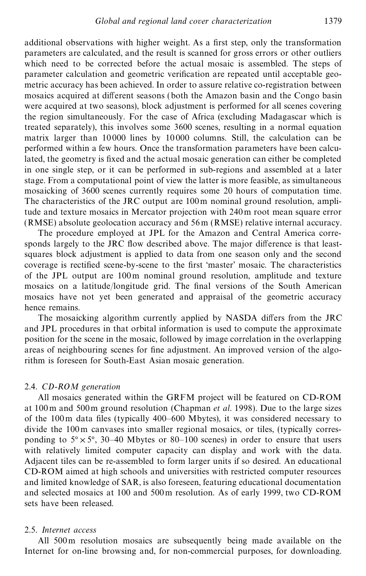additional observations with higher weight. As a first step, only the transformation parameters are calculated, and the result is scanned for gross errors or other outliers which need to be corrected before the actual mosaic is assembled. The steps of parameter calculation and geometric verification are repeated until acceptable geometric accuracy has been achieved. In order to assure relative co-registration between mosaics acquired at different seasons (both the Amazon basin and the Congo basin were acquired at two seasons), block adjustment is performed for all scenes covering the region simultaneously. For the case of Africa (excluding Madagascar which is treated separately), this involves some 3600 scenes, resulting in a normal equation matrix larger than 10 000 lines by 10 000 columns. Still, the calculation can be performed within a few hours. Once the transformation parameters have been calculated, the geometry is fixed and the actual mosaic generation can either be completed in one single step, or it can be performed in sub-regions and assembled at a later stage. From a computational point of view the latter is more feasible, as simultaneous mosaicking of 3600 scenes currently requires some 20 hours of computation time. The characteristics of the JRC output are 100m nominal ground resolution, amplitude and texture mosaics in Mercator projection with 240m root mean square error (RMSE) absolute geolocation accuracy and 56 m (RMSE) relative internal accuracy.

The procedure employed at JPL for the Amazon and Central America corresponds largely to the JRC flow described above. The major difference is that leastsquares block adjustment is applied to data from one season only and the second coverage is rectified scene-by-scene to the first 'master' mosaic. The characteristics of the JPL output are 100m nominal ground resolution, amplitude and texture mosaics on a latitude/longitude grid. The final versions of the South American mosaics have not yet been generated and appraisal of the geometric accuracy hence remains.

The mosaicking algorithm currently applied by NASDA differs from the JRC and JPL procedures in that orbital information is used to compute the approximate position for the scene in the mosaic, followed by image correlation in the overlapping areas of neighbouring scenes for fine adjustment. An improved version of the algorithm is foreseen for South-East Asian mosaic generation.

#### 2.4. *CD-ROM generation*

All mosaics generated within the GRFM project will be featured on CD-ROM at 100 m and 500m ground resolution (Chapman *et al.* 1998). Due to the large sizes of the 100m data files (typically 400–600 Mbytes), it was considered necessary to divide the 100m canvases into smaller regional mosaics, or tiles, (typically corresponding to  $5^\circ \times 5^\circ$ , 30–40 Mbytes or 80–100 scenes) in order to ensure that users with relatively limited computer capacity can display and work with the data. Adjacent tiles can be re-assembled to form larger units if so desired. An educational CD-ROM aimed at high schools and universities with restricted computer resources and limited knowledge of SAR, is also foreseen, featuring educational documentation and selected mosaics at 100 and 500m resolution. As of early 1999, two CD-ROM sets have been released.

### 2.5. *Internet access*

All 500m resolution mosaics are subsequently being made available on the Internet for on-line browsing and, for non-commercial purposes, for downloading.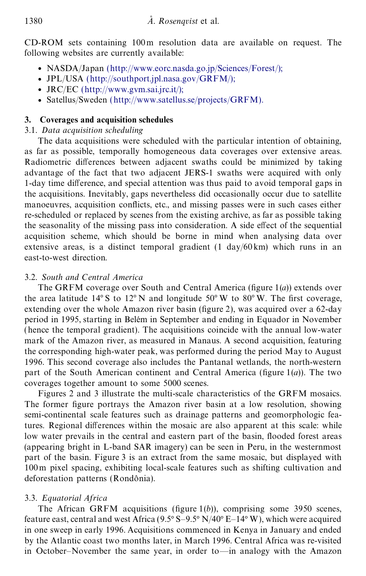CD-ROM sets containing 100m resolution data are available on request. The following websites are currently available:

- NASDA/Japan (http://[www.eorc.nasda.go.jp](http://www.eorc.nasda.go.jp/Sciences/Forest/)/Sciences/Forest/);
- <sup>E</sup> JPL/USA (http://[southport.jpl.nasa.gov](http://southport.jpl.nasa.gov/GRFM/)/GRFM/);
- $\bullet$  JRC/EC (http://[www.gvm.sai.jrc.it](http://www.gvm.sai.jrc.it/)/);
- Satellus/Sweden (http://[www.satellus.se](http://www.satellus.se/projects/GRFM)/projects/GRFM).

## **3. Coverages and acquisition schedules**

## 3.1. *Data acquisition scheduling*

The data acquisitions were scheduled with the particular intention of obtaining, as far as possible, temporally homogeneous data coverages over extensive areas. Radiometric differences between adjacent swaths could be minimized by taking advantage of the fact that two adjacent JERS-1 swaths were acquired with only 1-day time difference, and special attention was thus paid to avoid temporal gaps in the acquisitions. Inevitably, gaps nevertheless did occasionally occur due to satellite manoeuvres, acquisition conflicts, etc., and missing passes were in such cases either re-scheduled or replaced by scenes from the existing archive, as far as possible taking the seasonality of the missing pass into consideration. A side effect of the sequential acquisition scheme, which should be borne in mind when analysing data over extensive areas, is a distinct temporal gradient  $(1 \text{ day}/60 \text{ km})$  which runs in an east-to-west direction.

## 3.2. *South and Central America*

The GRFM coverage over South and Central America (figure  $1(a)$ ) extends over the area latitude  $14^{\circ}$  S to  $12^{\circ}$  N and longitude 50°W to 80°W. The first coverage, extending over the whole Amazon river basin (figure 2), was acquired over a 62-day period in 1995, starting in Belém in September and ending in Equador in November (hence the temporal gradient). The acquisitions coincide with the annual low-water mark of the Amazon river, as measured in Manaus. A second acquisition, featuring the corresponding high-water peak, was performed during the period May to August 1996. This second coverage also includes the Pantanal wetlands, the north-western part of the South American continent and Central America (figure  $1(a)$ ). The two coverages together amount to some 5000 scenes.

Figures 2 and 3 illustrate the multi-scale characteristics of the GRFM mosaics. The former figure portrays the Amazon river basin at a low resolution, showing semi-continental scale features such as drainage patterns and geomorphologic features. Regional differences within the mosaic are also apparent at this scale: while low water prevails in the central and eastern part of the basin, flooded forest areas (appearing bright in L-band SAR imagery) can be seen in Peru, in the westernmost part of the basin. Figure 3 is an extract from the same mosaic, but displayed with 100m pixel spacing, exhibiting local-scale features such as shifting cultivation and deforestation patterns (Rondônia).

## 3.3. *Equatorial Africa*

The African GRFM acquisitions (figure  $1(b)$ ), comprising some 3950 scenes, feature east, central and west Africa (9.5 $\degree$ S-9.5 $\degree$ N/40 $\degree$ E-14 $\degree$ W), which were acquired in one sweep in early 1996. Acquisitions commenced in Kenya in January and ended by the Atlantic coast two months later, in March 1996. Central Africa was re-visited in October–November the same year, in order to—in analogy with the Amazon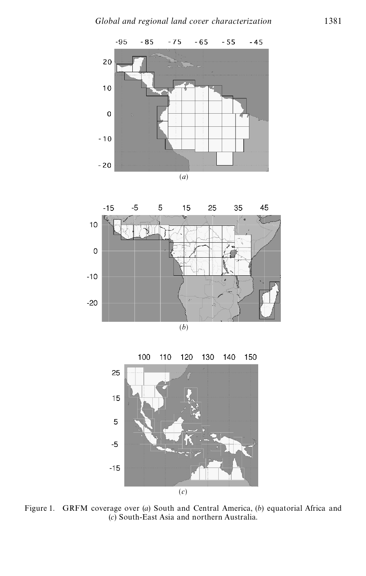



100 140 110 120 130 150 25  $15$ 5  $-5$  $-15$ (*c*)

Figure 1. GRFM coverage over (*a*) South and Central America, (*b*) equatorial Africa and (*c*) South-East Asia and northern Australia.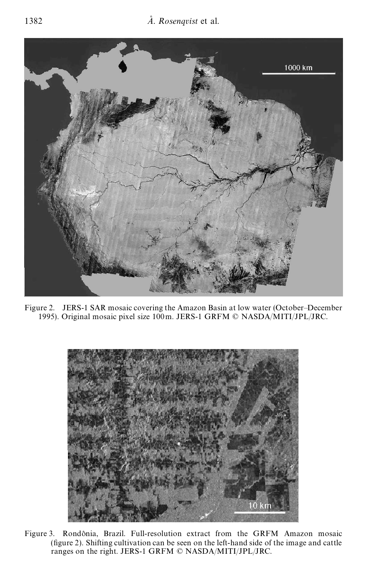

Figure 2. JERS-1 SAR mosaic covering the Amazon Basin at low water (October–December 1995). Original mosaic pixel size 100m. JERS-1 GRFM © NASDA/MITI/JPL/JRC.



Figure 3. Rondônia, Brazil. Full-resolution extract from the GRFM Amazon mosaic  $($ figure 2 $)$ . Shifting cultivation can be seen on the left-hand side of the image and cattle ranges on the right. JERS-1 GRFM © NASDA/MITI/JPL/JRC.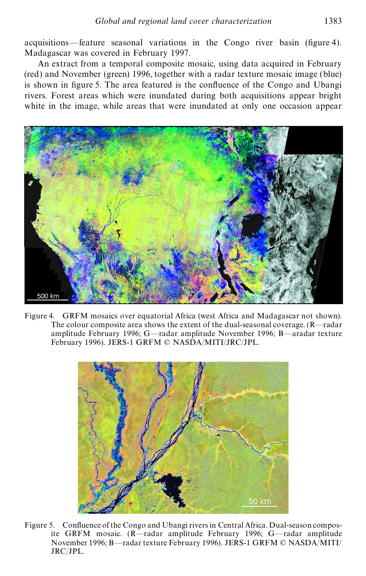acquisitions—feature seasonal variations in the Congo river basin (figure 4). Madagascar was covered in February 1997.

An extract from a temporal composite mosaic, using data acquired in February (red) and November (green) 1996, together with a radar texture mosaic image (blue) is shown in figure 5. The area featured is the confluence of the Congo and Ubangi rivers. Forest areas which were inundated during both acquisitions appear bright white in the image, while areas that were inundated at only one occasion appear



Figure 4. GRFM mosaics over equatorial Africa (west Africa and Madagascar not shown). The colour composite area shows the extent of the dual-seasonal coverage. (R—radar amplitude February 1996; G—radar amplitude November 1996; B—aradar texture February 1996). JERS-1 GRFM © NASDA/MITI/JRC/JPL.



Figure 5. Confluence of the Congo and Ubangi rivers in Central Africa. Dual-season composite GRFM mosaic. (R—radar amplitude February 1996; G—radar amplitude November 1996; B—radar texture February 1996). JERS-1 GRFM © NASDA/MITI/ JRC/JPL.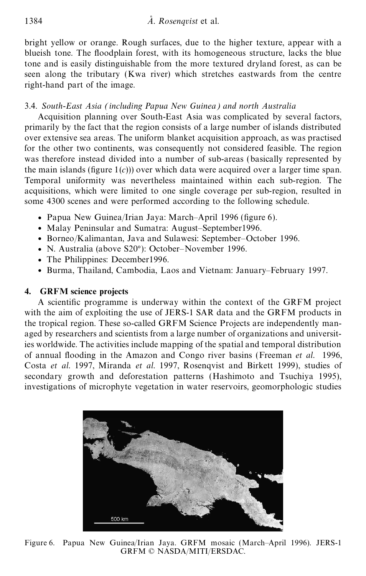bright yellow or orange. Rough surfaces, due to the higher texture, appear with a blueish tone. The floodplain forest, with its homogeneous structure, lacks the blue tone and is easily distinguishable from the more textured dryland forest, as can be seen along the tributary (Kwa river) which stretches eastwards from the centre right-hand part of the image.

## 3.4. *South-East Asia (including Papua New Guinea) and north Australia*

Acquisition planning over South-East Asia was complicated by several factors, primarily by the fact that the region consists of a large number of islands distributed over extensive sea areas. The uniform blanket acquisition approach, as was practised for the other two continents, was consequently not considered feasible. The region was therefore instead divided into a number of sub-areas (basically represented by the main islands (figure  $1(c)$ )) over which data were acquired over a larger time span. Temporal uniformity was nevertheless maintained within each sub-region. The acquisitions, which were limited to one single coverage per sub-region, resulted in some 4300 scenes and were performed according to the following schedule.

- Papua New Guinea/Irian Jaya: March–April 1996 (figure 6).
- Malay Peninsular and Sumatra: August–September1996.
- <sup>E</sup> Borneo/Kalimantan, Java and Sulawesi: September–October 1996.
- N. Australia (above S20°): October–November 1996.
- The Philippines: December 1996.
- <sup>E</sup> Burma, Thailand, Cambodia, Laos and Vietnam: January–February 1997.

## **4. GRFM science projects**

A scientific programme is underway within the context of the GRFM project with the aim of exploiting the use of JERS-1 SAR data and the GRFM products in the tropical region. These so-called GRFM Science Projects are independently managed by researchers and scientists from a large number of organizations and universities worldwide. The activities include mapping of the spatial and temporal distribution of annual flooding in the Amazon and Congo river basins (Freeman et al. 1996, Costa *et al.* 1997, Miranda *et al.* 1997, Rosenqvist and Birkett 1999), studies of secondary growth and deforestation patterns (Hashimoto and Tsuchiya 1995), investigations of microphyte vegetation in water reservoirs, geomorphologic studies



Figure 6. Papua New Guinea/Irian Jaya. GRFM mosaic (March–April 1996). JERS-1 GRFM © NASDA/MITI/ERSDAC.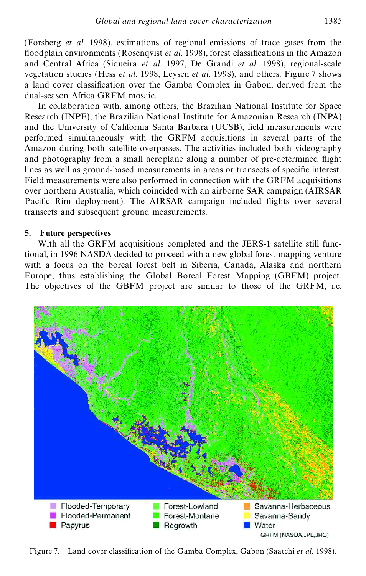(Forsberg *et al.* 1998), estimations of regional emissions of trace gases from the floodplain environments (Rosenqvist *et al.* 1998), forest classifications in the Amazon and Central Africa (Siqueira *et al.* 1997, De Grandi *et al.* 1998), regional-scale vegetation studies (Hess *et al.* 1998, Leysen *et al.* 1998), and others. Figure 7 shows a land cover classification over the Gamba Complex in Gabon, derived from the dual-season Africa GRFM mosaic.

In collaboration with, among others, the Brazilian National Institute for Space Research (INPE), the Brazilian National Institute for Amazonian Research (INPA) and the University of California Santa Barbara (UCSB), field measurements were performed simultaneously with the GRFM acquisitions in several parts of the Amazon during both satellite overpasses. The activities included both videography and photography from a small aeroplane along a number of pre-determined flight lines as well as ground-based measurements in areas or transects of specific interest. Field measurements were also performed in connection with the GRFM acquisitions over northern Australia, which coincided with an airborne SAR campaign (AIRSAR Pacific Rim deployment). The AIRSAR campaign included flights over several transects and subsequent ground measurements.

### **5. Future perspectives**

With all the GRFM acquisitions completed and the JERS-1 satellite still functional, in 1996 NASDA decided to proceed with a new global forest mapping venture with a focus on the boreal forest belt in Siberia, Canada, Alaska and northern Europe, thus establishing the Global Boreal Forest Mapping (GBFM) project. The objectives of the GBFM project are similar to those of the GRFM, i.e.



Figure 7. Land cover classification of the Gamba Complex, Gabon (Saatchi *et al.* 1998).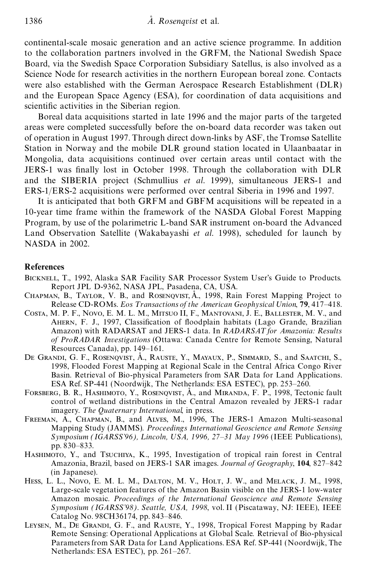continental-scale mosaic generation and an active science programme. In addition to the collaboration partners involved in the GRFM, the National Swedish Space Board, via the Swedish Space Corporation Subsidiary Satellus, is also involved as a Science Node for research activities in the northern European boreal zone. Contacts were also established with the German Aerospace Research Establishment (DLR) and the European Space Agency (ESA), for coordination of data acquisitions and scientific activities in the Siberian region.

Boreal data acquisitions started in late 1996 and the major parts of the targeted areas were completed successfully before the on-board data recorder was taken out of operation in August 1997. Through direct down-links by ASF, the Tromsø Satellite Station in Norway and the mobile DLR ground station located in Ulaanbaatar in Mongolia, data acquisitions continued over certain areas until contact with the JERS-1 was finally lost in October 1998. Through the collaboration with DLR and the SIBERIA project (Schmullius *et al.* 1999), simultaneous JERS-1 and ERS-1/ERS-2 acquisitions were performed over central Siberia in 1996 and 1997.

It is anticipated that both GRFM and GBFM acquisitions will be repeated in a 10-year time frame within the framework of the NASDA Global Forest Mapping Program, by use of the polarimetric L-band SAR instrument on-board the Advanced Land Observation Satellite (Wakabayashi *et al.* 1998), scheduled for launch by NASDA in 2002.

#### **References**

- Bicknell, T., 1992, Alaska SAR Facility SAR Processor System User's Guide to Products*.* Report JPL D-9362, NASA JPL, Pasadena, CA, USA.
- CHAPMAN, B., TAYLOR, V. B., and ROSENQVIST, Å., 1998, Rain Forest Mapping Project to Release CD-ROMs. *Eos T ransactions of the American Geophysical Union*, **79**, 417–418.
- Costa, M. P. F., Novo, E. M. L. M., Mitsuo II, F., Mantovani, J. E., Ballester, M. V., and AHERN, F. J., 1997, Classification of floodplain habitats (Lago Grande, Brazilian Amazon) with RADARSAT and JERS-1 data. In *RADARSAT for Amazonia: Results of ProRADAR Investigations* (Ottawa: Canada Centre for Remote Sensing, Natural Resources Canada), pp. 149–161.
- DE GRANDI, G. F., ROSENQVIST, Å., RAUSTE, Y., MAYAUX, P., SIMMARD, S., and SAATCHI, S., 1998, Flooded Forest Mapping at Regional Scale in the Central Africa Congo River Basin*.* Retrieval of Bio-physical Parameters from SAR Data for Land Applications. ESA Ref. SP-441 (Noordwijk, The Netherlands: ESA ESTEC), pp. 253–260.
- FORSBERG, B. R., HASHIMOTO, Y., ROSENQVIST, A<sup>n</sup>, and MIRANDA, F. P., 1998, Tectonic fault control of wetland distributions in the Central Amazon revealed by JERS-1 radar imagery*. T he Quaternary International*, in press.
- Freeman, A., Chapman, B., and Alves, M., 1996, The JERS-1 Amazon Multi-seasonal Mapping Study (JAMMS)*. Proceedings International Geoscience and Remote Sensing Symposium (IGARSS'96), L incoln, USA, 1996, 27–31 May 1996* (IEEE Publications), pp. 830–833.
- Hashimoto, Y., and Tsuchiya, K., 1995, Investigation of tropical rain forest in Central Amazonia, Brazil, based on JERS-1 SAR images. *Journal of Geography*, **104**, 827–842 (in Japanese).
- Hess, L. L., Novo, E. M. L. M., Dalton, M. V., Holt, J. W., and Melack, J. M., 1998, Large-scale vegetation features of the Amazon Basin visible on the JERS-1 low-water Amazon mosaic. *Proceedings of the International Geoscience and Remote Sensing Symposium (IGARSS'98). Seattle, USA, 1998*, vol. II (Piscataway, NJ: IEEE), IEEE Catalog No. 98CH36174, pp. 843–846.
- LEYSEN, M., DE GRANDI, G. F., and RAUSTE, Y., 1998, Tropical Forest Mapping by Radar Remote Sensing: Operational Applications at Global Scale*.* Retrieval of Bio-physical Parameters from SAR Data for Land Applications. ESA Ref. SP-441 (Noordwijk, The Netherlands: ESA ESTEC), pp. 261–267.